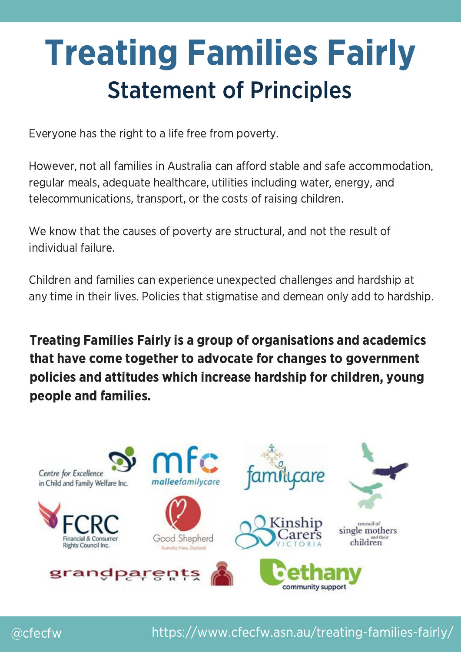## Treating Families Fairly Statement of Principles

Everyone has the right to a life free from poverty.

However, not all families in Australia can afford stable and safe accommodation, regular meals, adequate healthcare, utilities including water, energy, and telecommunications, transport, or the costs of raising children.

We know that the causes of poverty are structural, and not the result of individual failure.

Children and families can experience unexpected challenges and hardship at any time in their lives. Policies that stigmatise and demean only add to hardship.

Treating Families Fairly is a group of organisations and academics that have come together to advocate for changes to government policies and attitudes which increase hardship for children, young people and families.



@cfecfw https://www.cfecfw.asn.au/treating-families-fairly/